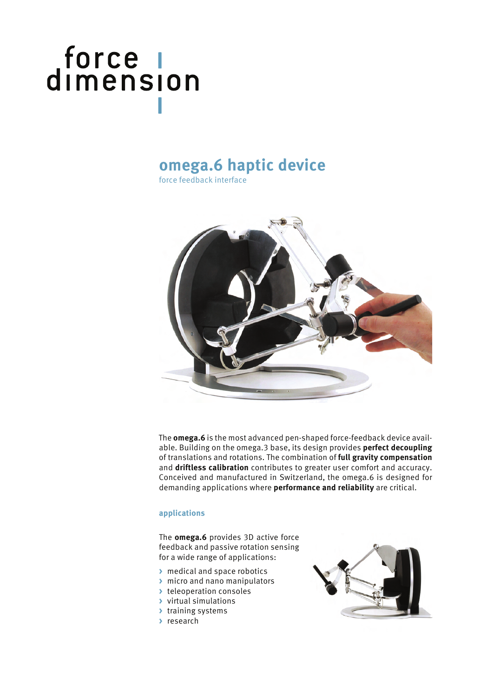# force |<br>dimension

### **omega.6 haptic device**

force feedback interface



The **omega.6** is the most advanced pen-shaped force-feedback device available. Building on the omega.3 base, its design provides **perfect decoupling** of translations and rotations. The combination of **full gravity compensation** and **driftless calibration** contributes to greater user comfort and accuracy. Conceived and manufactured in Switzerland, the omega.6 is designed for demanding applications where **performance and reliability** are critical.

#### **applications**

The **omega.6** provides 3D active force feedback and passive rotation sensing for a wide range of applications:

- **>** medical and space robotics
- **>** micro and nano manipulators
- **>** teleoperation consoles
- **>** virtual simulations
- **>** training systems
- **>** research